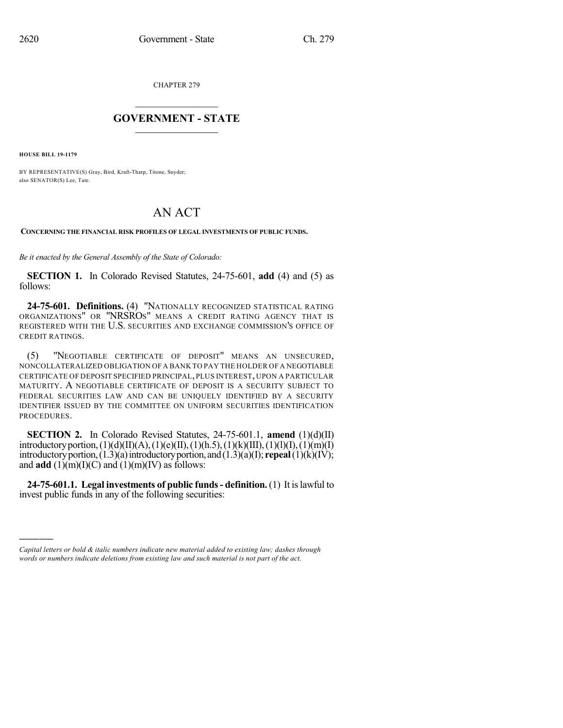CHAPTER 279

## $\overline{\phantom{a}}$  . The set of the set of the set of the set of the set of the set of the set of the set of the set of the set of the set of the set of the set of the set of the set of the set of the set of the set of the set o **GOVERNMENT - STATE**  $\_$

**HOUSE BILL 19-1179**

)))))

BY REPRESENTATIVE(S) Gray, Bird, Kraft-Tharp, Titone, Snyder; also SENATOR(S) Lee, Tate.

## AN ACT

**CONCERNING THE FINANCIAL RISK PROFILES OF LEGAL INVESTMENTS OF PUBLIC FUNDS.**

*Be it enacted by the General Assembly of the State of Colorado:*

**SECTION 1.** In Colorado Revised Statutes, 24-75-601, **add** (4) and (5) as follows:

**24-75-601. Definitions.** (4) "NATIONALLY RECOGNIZED STATISTICAL RATING ORGANIZATIONS" OR "NRSROS" MEANS A CREDIT RATING AGENCY THAT IS REGISTERED WITH THE U.S. SECURITIES AND EXCHANGE COMMISSION'S OFFICE OF CREDIT RATINGS.

(5) "NEGOTIABLE CERTIFICATE OF DEPOSIT" MEANS AN UNSECURED, NONCOLLATERALIZED OBLIGATION OF A BANK TO PAY THE HOLDER OF A NEGOTIABLE CERTIFICATE OF DEPOSIT SPECIFIED PRINCIPAL, PLUS INTEREST, UPON A PARTICULAR MATURITY. A NEGOTIABLE CERTIFICATE OF DEPOSIT IS A SECURITY SUBJECT TO FEDERAL SECURITIES LAW AND CAN BE UNIQUELY IDENTIFIED BY A SECURITY IDENTIFIER ISSUED BY THE COMMITTEE ON UNIFORM SECURITIES IDENTIFICATION PROCEDURES.

**SECTION 2.** In Colorado Revised Statutes, 24-75-601.1, **amend** (1)(d)(II) introductory portion, (1)(d)(II)(A), (1)(e)(II), (1)(h.5), (1)(k)(III), (1)(l)(I), (1)(m)(I) introductoryportion,(1.3)(a)introductoryportion, and(1.3)(a)(I); **repeal**(1)(k)(IV); and **add**  $(1)(m)(I)(C)$  and  $(1)(m)(IV)$  as follows:

**24-75-601.1. Legal investments of public funds- definition.** (1) It islawful to invest public funds in any of the following securities:

*Capital letters or bold & italic numbers indicate new material added to existing law; dashes through words or numbers indicate deletions from existing law and such material is not part of the act.*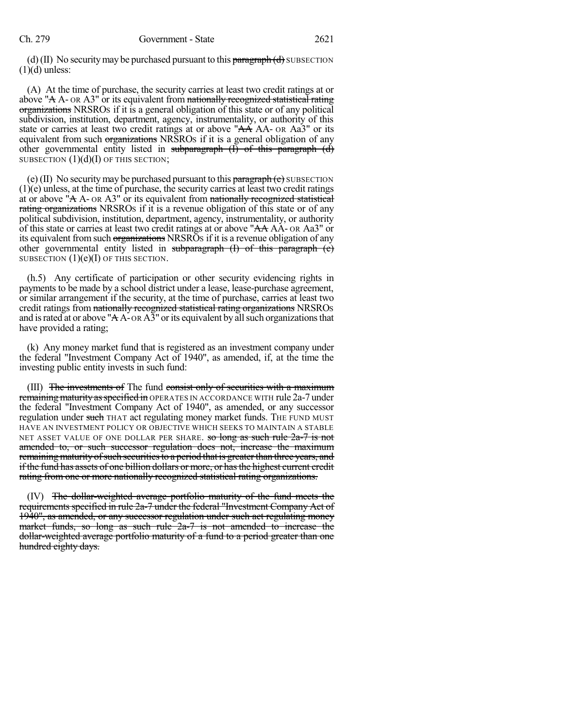(d) (II) No security may be purchased pursuant to this  $\frac{\partial^2 f}{\partial x^2}$  by BSECTION  $(1)(d)$  unless:

(A) At the time of purchase, the security carries at least two credit ratings at or above "A  $A$ - OR  $A$ 3" or its equivalent from nationally recognized statistical rating organizations NRSROS if it is a general obligation of this state or of any political subdivision, institution, department, agency, instrumentality, or authority of this state or carries at least two credit ratings at or above "AA AA- OR Aa3" or its equivalent from such organizations NRSROs if it is a general obligation of any other governmental entity listed in subparagraph  $(\overrightarrow{I})$  of this paragraph  $(\overrightarrow{d})$ SUBSECTION  $(1)(d)(I)$  OF THIS SECTION;

(e) (II) No security may be purchased pursuant to this  $\frac{\partial f}{\partial x} + \frac{\partial f}{\partial y} + \frac{\partial f}{\partial z}$ (1)(e) unless, at the time of purchase, the security carries at least two credit ratings at or above " $A$  A- or A3" or its equivalent from nationally recognized statistical rating organizations NRSROs if it is a revenue obligation of this state or of any political subdivision, institution, department, agency, instrumentality, or authority of this state or carries at least two credit ratings at or above "AA AA- OR Aa3" or its equivalent from such organizations NRSROs if it is a revenue obligation of any other governmental entity listed in subparagraph  $(I)$  of this paragraph  $(e)$ SUBSECTION  $(1)(e)(I)$  OF THIS SECTION.

(h.5) Any certificate of participation or other security evidencing rights in payments to be made by a school district under a lease, lease-purchase agreement, or similar arrangement if the security, at the time of purchase, carries at least two credit ratings from nationally recognized statistical rating organizations NRSROS and is rated at or above " $A\overline{A}$ -OR $A\overline{3}$ " or its equivalent by all such organizations that have provided a rating;

(k) Any money market fund that is registered as an investment company under the federal "Investment Company Act of 1940", as amended, if, at the time the investing public entity invests in such fund:

(III) The investments of The fund consist only of securities with a maximum remaining maturity as specified in OPERATES IN ACCORDANCE WITH rule 2a-7 under the federal "Investment Company Act of 1940", as amended, or any successor regulation under such THAT act regulating money market funds. The FUND MUST HAVE AN INVESTMENT POLICY OR OBJECTIVE WHICH SEEKS TO MAINTAIN A STABLE NET ASSET VALUE OF ONE DOLLAR PER SHARE. so long as such rule 2a-7 is not amended to, or such successor regulation does not, increase the maximum remaining maturity of such securities to a period that is greater than three years, and if the fund has assets of one billion dollars or more, or hasthe highest current credit rating from one or more nationally recognized statistical rating organizations.

(IV) The dollar-weighted average portfolio maturity of the fund meets the requirements specified in rule 2a-7 under the federal "Investment Company Act of 1940", as amended, or any successor regulation under such act regulating money market funds, so long as such rule 2a-7 is not amended to increase the dollar-weighted average portfolio maturity of a fund to a period greater than one hundred eighty days.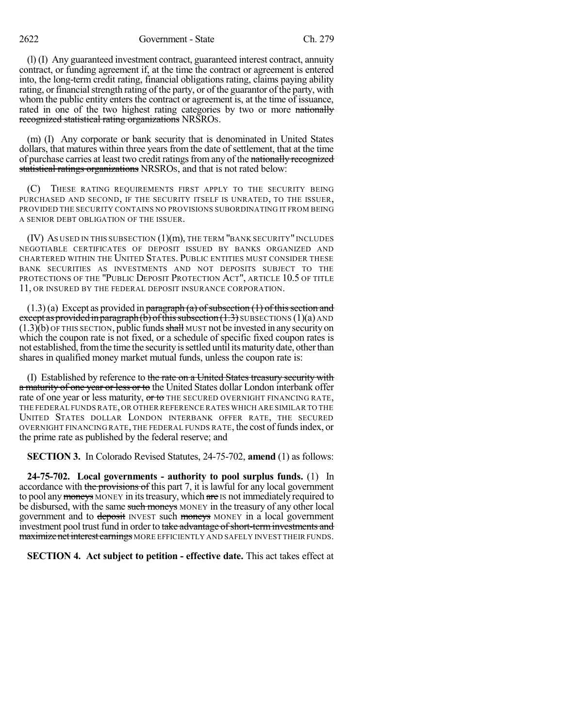2622 Government - State Ch. 279

(l) (I) Any guaranteed investment contract, guaranteed interest contract, annuity contract, or funding agreement if, at the time the contract or agreement is entered into, the long-term credit rating, financial obligations rating, claims paying ability rating, or financial strength rating of the party, or of the guarantor of the party, with whom the public entity enters the contract or agreement is, at the time of issuance, rated in one of the two highest rating categories by two or more nationally recognized statistical rating organizations NRSROS.

(m) (I) Any corporate or bank security that is denominated in United States dollars, that matures within three years from the date of settlement, that at the time of purchase carries at least two credit ratingsfromany of the nationally recognized statistical ratings organizations NRSROS, and that is not rated below:

(C) THESE RATING REQUIREMENTS FIRST APPLY TO THE SECURITY BEING PURCHASED AND SECOND, IF THE SECURITY ITSELF IS UNRATED, TO THE ISSUER, PROVIDED THE SECURITY CONTAINS NO PROVISIONS SUBORDINATING IT FROM BEING A SENIOR DEBT OBLIGATION OF THE ISSUER.

(IV) AS USED IN THIS SUBSECTION (1)(m), THE TERM "BANK SECURITY" INCLUDES NEGOTIABLE CERTIFICATES OF DEPOSIT ISSUED BY BANKS ORGANIZED AND CHARTERED WITHIN THE UNITED STATES. PUBLIC ENTITIES MUST CONSIDER THESE BANK SECURITIES AS INVESTMENTS AND NOT DEPOSITS SUBJECT TO THE PROTECTIONS OF THE "PUBLIC DEPOSIT PROTECTION ACT", ARTICLE 10.5 OF TITLE 11, OR INSURED BY THE FEDERAL DEPOSIT INSURANCE CORPORATION.

 $(1.3)(a)$  Except as provided in paragraph  $(a)$  of subsection  $(1)$  of this section and except as provided in paragraph (b) of this subsection  $(1.3)$  SUBSECTIONS  $(1)(a)$  AND  $(1.3)(b)$  OF THIS SECTION, public funds shall MUST not be invested in any security on which the coupon rate is not fixed, or a schedule of specific fixed coupon rates is not established, from the time the security is settled until its maturity date, other than shares in qualified money market mutual funds, unless the coupon rate is:

(I) Established by reference to the rate on a United States treasury security with a maturity of one year or less or to the United States dollar London interbank offer rate of one year or less maturity, or to THE SECURED OVERNIGHT FINANCING RATE, THE FEDERAL FUNDS RATE, OR OTHER REFERENCE RATES WHICH ARE SIMILAR TO THE UNITED STATES DOLLAR LONDON INTERBANK OFFER RATE, THE SECURED OVERNIGHT FINANCING RATE, THE FEDERAL FUNDS RATE, the cost of funds index, or the prime rate as published by the federal reserve; and

**SECTION 3.** In Colorado Revised Statutes, 24-75-702, **amend** (1) as follows:

**24-75-702. Local governments - authority to pool surplus funds.** (1) In accordance with the provisions of this part 7, it is lawful for any local government to pool any moneys MONEY in its treasury, which are IS not immediately required to be disbursed, with the same such moneys MONEY in the treasury of any other local government and to deposit INVEST such moneys MONEY in a local government investment pool trust fund in order to take advantage of short-term investments and maximize net interest earnings MORE EFFICIENTLY AND SAFELY INVEST THEIR FUNDS.

**SECTION 4. Act subject to petition - effective date.** This act takes effect at